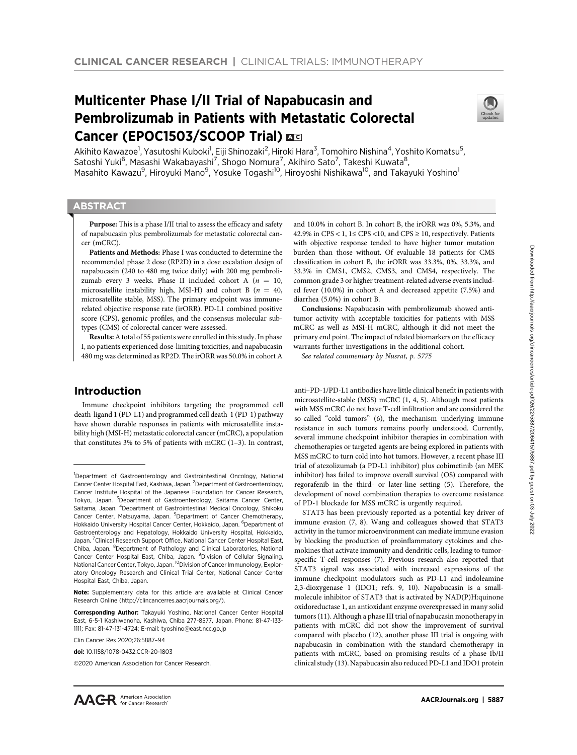# Multicenter Phase I/II Trial of Napabucasin and Pembrolizumab in Patients with Metastatic Colorectal Cancer (EPOC1503/SCOOP Trial) EC



Akihito Kawazoe<sup>1</sup>, Yasutoshi Kuboki<sup>1</sup>, Eiji Shinozaki<sup>2</sup>, Hiroki Hara<sup>3</sup>, Tomohiro Nishina<sup>4</sup>, Yoshito Komatsu<sup>5</sup>, Satoshi Yuki<sup>6</sup>, Masashi Wakabayashi<sup>7</sup>, Shogo Nomura<sup>7</sup>, Akihiro Sato<sup>7</sup>, Takeshi Kuwata<sup>8</sup>, Masahito Kawazu<sup>9</sup>, Hiroyuki Mano<sup>9</sup>, Yosuke Togashi<sup>10</sup>, Hiroyoshi Nishikawa<sup>10</sup>, and Takayuki Yoshino<sup>1</sup>

# **ABSTRACT**

◥

Purpose: This is a phase I/II trial to assess the efficacy and safety of napabucasin plus pembrolizumab for metastatic colorectal cancer (mCRC).

Patients and Methods: Phase I was conducted to determine the recommended phase 2 dose (RP2D) in a dose escalation design of napabucasin (240 to 480 mg twice daily) with 200 mg pembrolizumab every 3 weeks. Phase II included cohort A ( $n = 10$ , microsatellite instability high, MSI-H) and cohort B ( $n = 40$ , microsatellite stable, MSS). The primary endpoint was immunerelated objective response rate (irORR). PD-L1 combined positive score (CPS), genomic profiles, and the consensus molecular subtypes (CMS) of colorectal cancer were assessed.

Results:A total of 55 patients were enrolled in this study. In phase I, no patients experienced dose-limiting toxicities, and napabucasin 480 mg was determined as RP2D. The irORR was 50.0% in cohort A

# Introduction

Immune checkpoint inhibitors targeting the programmed cell death-ligand 1 (PD-L1) and programmed cell death-1 (PD-1) pathway have shown durable responses in patients with microsatellite instability high (MSI-H) metastatic colorectal cancer (mCRC), a population that constitutes 3% to 5% of patients with mCRC (1–3). In contrast,

and 10.0% in cohort B. In cohort B, the irORR was 0%, 5.3%, and 42.9% in CPS < 1,  $1 \leq$  CPS < 10, and CPS  $\geq$  10, respectively. Patients with objective response tended to have higher tumor mutation burden than those without. Of evaluable 18 patients for CMS classification in cohort B, the irORR was 33.3%, 0%, 33.3%, and 33.3% in CMS1, CMS2, CMS3, and CMS4, respectively. The common grade 3 or higher treatment-related adverse events included fever (10.0%) in cohort A and decreased appetite (7.5%) and diarrhea (5.0%) in cohort B.

Conclusions: Napabucasin with pembrolizumab showed antitumor activity with acceptable toxicities for patients with MSS mCRC as well as MSI-H mCRC, although it did not meet the primary end point. The impact of related biomarkers on the efficacy warrants further investigations in the additional cohort.

See related commentary by Nusrat, p. 5775

anti–PD-1/PD-L1 antibodies have little clinical benefit in patients with microsatellite-stable (MSS) mCRC (1, 4, 5). Although most patients with MSS mCRC do not have T-cell infiltration and are considered the so-called "cold tumors" (6), the mechanism underlying immune resistance in such tumors remains poorly understood. Currently, several immune checkpoint inhibitor therapies in combination with chemotherapies or targeted agents are being explored in patients with MSS mCRC to turn cold into hot tumors. However, a recent phase III trial of atezolizumab (a PD-L1 inhibitor) plus cobimetinib (an MEK inhibitor) has failed to improve overall survival (OS) compared with regorafenib in the third- or later-line setting (5). Therefore, the development of novel combination therapies to overcome resistance of PD-1 blockade for MSS mCRC is urgently required.

STAT3 has been previously reported as a potential key driver of immune evasion (7, 8). Wang and colleagues showed that STAT3 activity in the tumor microenvironment can mediate immune evasion by blocking the production of proinflammatory cytokines and chemokines that activate immunity and dendritic cells, leading to tumorspecific T-cell responses (7). Previous research also reported that STAT3 signal was associated with increased expressions of the immune checkpoint modulators such as PD-L1 and indoleamine 2,3-dioxygenase 1 (IDO1; refs. 9, 10). Napabucasin is a smallmolecule inhibitor of STAT3 that is activated by NAD(P)H:quinone oxidoreductase 1, an antioxidant enzyme overexpressed in many solid tumors (11). Although a phase III trial of napabucasin monotherapy in patients with mCRC did not show the improvement of survival compared with placebo (12), another phase III trial is ongoing with napabucasin in combination with the standard chemotherapy in patients with mCRC, based on promising results of a phase Ib/II clinical study (13). Napabucasin also reduced PD-L1 and IDO1 protein

<sup>&</sup>lt;sup>1</sup>Department of Gastroenterology and Gastrointestinal Oncology, National Cancer Center Hospital East, Kashiwa, Japan. <sup>2</sup> Department of Gastroenterology, Cancer Institute Hospital of the Japanese Foundation for Cancer Research, Tokyo, Japan. <sup>3</sup>Department of Gastroenterology, Saitama Cancer Center, Saitama, Japan. <sup>4</sup>Department of Gastrointestinal Medical Oncology, Shikoku Cancer Center, Matsuyama, Japan. <sup>5</sup>Department of Cancer Chemotherapy, Hokkaido University Hospital Cancer Center, Hokkaido, Japan. <sup>6</sup>Department of Gastroenterology and Hepatology, Hokkaido University Hospital, Hokkaido, Japan.<sup>7</sup> Clinical Research Support Office, National Cancer Center Hospital East, Chiba, Japan. <sup>8</sup>Department of Pathology and Clinical Laboratories, National Cancer Center Hospital East, Chiba, Japan. <sup>9</sup> Division of Cellular Signaling, National Cancer Center, Tokyo, Japan. 10Division of Cancer Immunology, Exploratory Oncology Research and Clinical Trial Center, National Cancer Center Hospital East, Chiba, Japan.

Note: Supplementary data for this article are available at Clinical Cancer Research Online (http://clincancerres.aacrjournals.org/).

**Corresponding Author:** Takayuki Yoshino, National Cancer Center Hospital East, 6-5-1 Kashiwanoha, Kashiwa, Chiba 277-8577, Japan. Phone: 81-47-133- 1111; Fax: 81-47-131-4724; E-mail: tyoshino@east.ncc.go.jp

Clin Cancer Res 2020;26:5887–94

doi: 10.1158/1078-0432.CCR-20-1803

<sup>2020</sup> American Association for Cancer Research.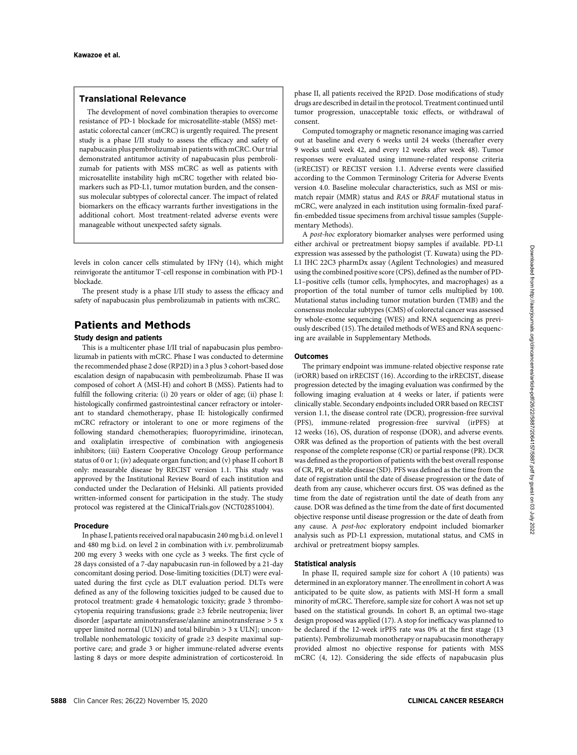# Translational Relevance

The development of novel combination therapies to overcome resistance of PD-1 blockade for microsatellite-stable (MSS) metastatic colorectal cancer (mCRC) is urgently required. The present study is a phase I/II study to assess the efficacy and safety of napabucasin plus pembrolizumab in patients with mCRC. Our trial demonstrated antitumor activity of napabucasin plus pembrolizumab for patients with MSS mCRC as well as patients with microsatellite instability high mCRC together with related biomarkers such as PD-L1, tumor mutation burden, and the consensus molecular subtypes of colorectal cancer. The impact of related biomarkers on the efficacy warrants further investigations in the additional cohort. Most treatment-related adverse events were manageable without unexpected safety signals.

levels in colon cancer cells stimulated by IFN $\gamma$  (14), which might reinvigorate the antitumor T-cell response in combination with PD-1 blockade.

The present study is a phase I/II study to assess the efficacy and safety of napabucasin plus pembrolizumab in patients with mCRC.

# Patients and Methods

# Study design and patients

This is a multicenter phase I/II trial of napabucasin plus pembrolizumab in patients with mCRC. Phase I was conducted to determine the recommended phase 2 dose (RP2D) in a 3 plus 3 cohort-based dose escalation design of napabucasin with pembrolizumab. Phase II was composed of cohort A (MSI-H) and cohort B (MSS). Patients had to fulfill the following criteria: (i) 20 years or older of age; (ii) phase I: histologically confirmed gastrointestinal cancer refractory or intolerant to standard chemotherapy, phase II: histologically confirmed mCRC refractory or intolerant to one or more regimens of the following standard chemotherapies; fluoropyrimidine, irinotecan, and oxaliplatin irrespective of combination with angiogenesis inhibitors; (iii) Eastern Cooperative Oncology Group performance status of 0 or 1; (iv) adequate organ function; and (v) phase II cohort B only: measurable disease by RECIST version 1.1. This study was approved by the Institutional Review Board of each institution and conducted under the Declaration of Helsinki. All patients provided written-informed consent for participation in the study. The study protocol was registered at the ClinicalTrials.gov (NCT02851004).

### Procedure

In phase I, patients received oral napabucasin 240 mg b.i.d. on level 1 and 480 mg b.i.d. on level 2 in combination with i.v. pembrolizumab 200 mg every 3 weeks with one cycle as 3 weeks. The first cycle of 28 days consisted of a 7-day napabucasin run-in followed by a 21-day concomitant dosing period. Dose-limiting toxicities (DLT) were evaluated during the first cycle as DLT evaluation period. DLTs were defined as any of the following toxicities judged to be caused due to protocol treatment: grade 4 hematologic toxicity; grade 3 thrombocytopenia requiring transfusions; grade ≥3 febrile neutropenia; liver disorder [aspartate aminotransferase/alanine aminotransferase > 5 x upper limited normal (ULN) and total bilirubin  $> 3 \times ULN$ ; uncontrollable nonhematologic toxicity of grade ≥3 despite maximal supportive care; and grade 3 or higher immune-related adverse events lasting 8 days or more despite administration of corticosteroid. In phase II, all patients received the RP2D. Dose modifications of study drugs are described in detail in the protocol. Treatment continued until tumor progression, unacceptable toxic effects, or withdrawal of consent.

Computed tomography or magnetic resonance imaging was carried out at baseline and every 6 weeks until 24 weeks (thereafter every 9 weeks until week 42, and every 12 weeks after week 48). Tumor responses were evaluated using immune-related response criteria (irRECIST) or RECIST version 1.1. Adverse events were classified according to the Common Terminology Criteria for Adverse Events version 4.0. Baseline molecular characteristics, such as MSI or mismatch repair (MMR) status and RAS or BRAF mutational status in mCRC, were analyzed in each institution using formalin-fixed paraffin-embedded tissue specimens from archival tissue samples (Supplementary Methods).

A post-hoc exploratory biomarker analyses were performed using either archival or pretreatment biopsy samples if available. PD-L1 expression was assessed by the pathologist (T. Kuwata) using the PD-L1 IHC 22C3 pharmDx assay (Agilent Technologies) and measured using the combined positive score (CPS), defined as the number of PD-L1–positive cells (tumor cells, lymphocytes, and macrophages) as a proportion of the total number of tumor cells multiplied by 100. Mutational status including tumor mutation burden (TMB) and the consensus molecular subtypes (CMS) of colorectal cancer was assessed by whole-exome sequencing (WES) and RNA sequencing as previously described (15). The detailed methods of WES and RNA sequencing are available in Supplementary Methods.

#### **Outcomes**

The primary endpoint was immune-related objective response rate (irORR) based on irRECIST (16). According to the irRECIST, disease progression detected by the imaging evaluation was confirmed by the following imaging evaluation at 4 weeks or later, if patients were clinically stable. Secondary endpoints included ORR based on RECIST version 1.1, the disease control rate (DCR), progression-free survival (PFS), immune-related progression-free survival (irPFS) at 12 weeks (16), OS, duration of response (DOR), and adverse events. ORR was defined as the proportion of patients with the best overall response of the complete response (CR) or partial response (PR). DCR was defined as the proportion of patients with the best overall response of CR, PR, or stable disease (SD). PFS was defined as the time from the date of registration until the date of disease progression or the date of death from any cause, whichever occurs first. OS was defined as the time from the date of registration until the date of death from any cause. DOR was defined as the time from the date of first documented objective response until disease progression or the date of death from any cause. A post-hoc exploratory endpoint included biomarker analysis such as PD-L1 expression, mutational status, and CMS in archival or pretreatment biopsy samples.

#### Statistical analysis

In phase II, required sample size for cohort A (10 patients) was determined in an exploratory manner. The enrollment in cohort A was anticipated to be quite slow, as patients with MSI-H form a small minority of mCRC. Therefore, sample size for cohort A was not set up based on the statistical grounds. In cohort B, an optimal two-stage design proposed was applied (17). A stop for inefficacy was planned to be declared if the 12-week irPFS rate was 0% at the first stage (13 patients). Pembrolizumab monotherapy or napabucasin monotherapy provided almost no objective response for patients with MSS mCRC (4, 12). Considering the side effects of napabucasin plus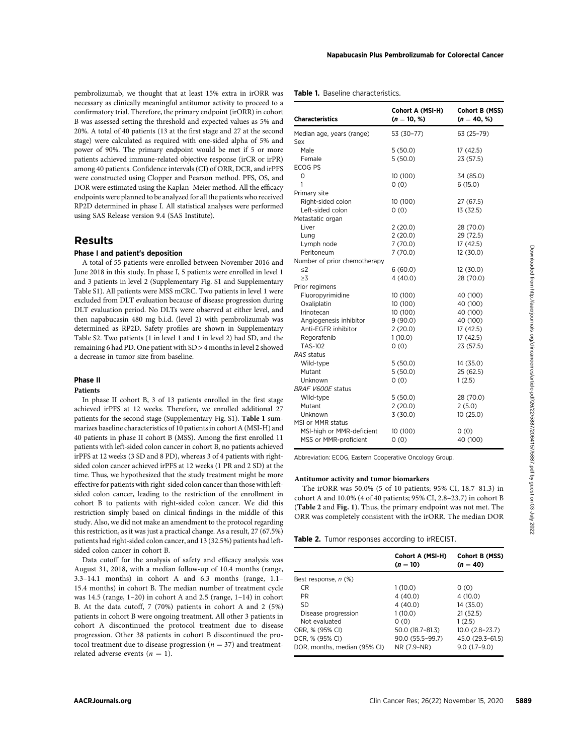pembrolizumab, we thought that at least 15% extra in irORR was necessary as clinically meaningful antitumor activity to proceed to a confirmatory trial. Therefore, the primary endpoint (irORR) in cohort B was assessed setting the threshold and expected values as 5% and 20%. A total of 40 patients (13 at the first stage and 27 at the second stage) were calculated as required with one-sided alpha of 5% and power of 90%. The primary endpoint would be met if 5 or more patients achieved immune-related objective response (irCR or irPR) among 40 patients. Confidence intervals (CI) of ORR, DCR, and irPFS were constructed using Clopper and Pearson method. PFS, OS, and DOR were estimated using the Kaplan–Meier method. All the efficacy endpoints were planned to be analyzed for all the patients who received RP2D determined in phase I. All statistical analyses were performed using SAS Release version 9.4 (SAS Institute).

# Results

#### Phase I and patient's deposition

# Phase II

#### Patients

#### Table 1. Baseline characteristics.

| necessary as clinically meaningful antitumor activity to proceed to a<br>confirmatory trial. Therefore, the primary endpoint (irORR) in cohort<br>B was assessed setting the threshold and expected values as 5% and                                                                                                                                                                                                                                                                                                     | <b>Characteristics</b>                                                                                                                                                                                                                                                                                              | Cohort A (MSI-H)<br>$(n = 10, %)$               | Cohort B (MSS)<br>$(n = 40, %)$    |
|--------------------------------------------------------------------------------------------------------------------------------------------------------------------------------------------------------------------------------------------------------------------------------------------------------------------------------------------------------------------------------------------------------------------------------------------------------------------------------------------------------------------------|---------------------------------------------------------------------------------------------------------------------------------------------------------------------------------------------------------------------------------------------------------------------------------------------------------------------|-------------------------------------------------|------------------------------------|
| 20%. A total of 40 patients (13 at the first stage and 27 at the second<br>stage) were calculated as required with one-sided alpha of 5% and                                                                                                                                                                                                                                                                                                                                                                             | Median age, years (range)<br>Sex                                                                                                                                                                                                                                                                                    | 53 (30-77)                                      | 63 (25–79)                         |
| power of 90%. The primary endpoint would be met if 5 or more                                                                                                                                                                                                                                                                                                                                                                                                                                                             | Male                                                                                                                                                                                                                                                                                                                | 5(50.0)                                         | 17 (42.5)                          |
| patients achieved immune-related objective response (irCR or irPR)                                                                                                                                                                                                                                                                                                                                                                                                                                                       | Female                                                                                                                                                                                                                                                                                                              | 5(50.0)                                         | 23 (57.5)                          |
| among 40 patients. Confidence intervals (CI) of ORR, DCR, and irPFS                                                                                                                                                                                                                                                                                                                                                                                                                                                      | ECOG PS                                                                                                                                                                                                                                                                                                             |                                                 |                                    |
| were constructed using Clopper and Pearson method. PFS, OS, and                                                                                                                                                                                                                                                                                                                                                                                                                                                          | 0                                                                                                                                                                                                                                                                                                                   | 10 (100)                                        | 34 (85.0)                          |
| DOR were estimated using the Kaplan-Meier method. All the efficacy                                                                                                                                                                                                                                                                                                                                                                                                                                                       | $\mathbf{1}$                                                                                                                                                                                                                                                                                                        | 0(0)                                            | 6(15.0)                            |
| endpoints were planned to be analyzed for all the patients who received                                                                                                                                                                                                                                                                                                                                                                                                                                                  | Primary site                                                                                                                                                                                                                                                                                                        |                                                 |                                    |
| RP2D determined in phase I. All statistical analyses were performed                                                                                                                                                                                                                                                                                                                                                                                                                                                      | Right-sided colon                                                                                                                                                                                                                                                                                                   | 10 (100)                                        | 27 (67.5)                          |
| using SAS Release version 9.4 (SAS Institute).                                                                                                                                                                                                                                                                                                                                                                                                                                                                           | Left-sided colon                                                                                                                                                                                                                                                                                                    | 0(0)                                            | 13 (32.5)                          |
|                                                                                                                                                                                                                                                                                                                                                                                                                                                                                                                          | Metastatic organ                                                                                                                                                                                                                                                                                                    |                                                 |                                    |
|                                                                                                                                                                                                                                                                                                                                                                                                                                                                                                                          | Liver<br>Lung                                                                                                                                                                                                                                                                                                       | 2(20.0)<br>2(20.0)                              | 28 (70.0)<br>29 (72.5)             |
| <b>Results</b>                                                                                                                                                                                                                                                                                                                                                                                                                                                                                                           | Lymph node                                                                                                                                                                                                                                                                                                          | 7(70.0)                                         | 17 (42.5)                          |
| Phase I and patient's deposition                                                                                                                                                                                                                                                                                                                                                                                                                                                                                         | Peritoneum                                                                                                                                                                                                                                                                                                          | 7(70.0)                                         | 12 (30.0)                          |
| A total of 55 patients were enrolled between November 2016 and                                                                                                                                                                                                                                                                                                                                                                                                                                                           | Number of prior chemotherapy                                                                                                                                                                                                                                                                                        |                                                 |                                    |
| June 2018 in this study. In phase I, 5 patients were enrolled in level 1                                                                                                                                                                                                                                                                                                                                                                                                                                                 | ≤2                                                                                                                                                                                                                                                                                                                  | 6(60.0)                                         | 12 (30.0)                          |
| and 3 patients in level 2 (Supplementary Fig. S1 and Supplementary                                                                                                                                                                                                                                                                                                                                                                                                                                                       | $\geq 3$                                                                                                                                                                                                                                                                                                            | 4(40.0)                                         | 28 (70.0)                          |
| Table S1). All patients were MSS mCRC. Two patients in level 1 were                                                                                                                                                                                                                                                                                                                                                                                                                                                      | Prior regimens                                                                                                                                                                                                                                                                                                      |                                                 |                                    |
| excluded from DLT evaluation because of disease progression during                                                                                                                                                                                                                                                                                                                                                                                                                                                       | Fluoropyrimidine                                                                                                                                                                                                                                                                                                    | 10 (100)                                        | 40 (100)                           |
| DLT evaluation period. No DLTs were observed at either level, and                                                                                                                                                                                                                                                                                                                                                                                                                                                        | Oxaliplatin                                                                                                                                                                                                                                                                                                         | 10 (100)                                        | 40 (100)                           |
|                                                                                                                                                                                                                                                                                                                                                                                                                                                                                                                          | Irinotecan                                                                                                                                                                                                                                                                                                          | 10 (100)                                        | 40 (100)                           |
| then napabucasin 480 mg b.i.d. (level 2) with pembrolizumab was                                                                                                                                                                                                                                                                                                                                                                                                                                                          | Angiogenesis inhibitor                                                                                                                                                                                                                                                                                              | 9(90.0)                                         | 40 (100)                           |
| determined as RP2D. Safety profiles are shown in Supplementary                                                                                                                                                                                                                                                                                                                                                                                                                                                           | Anti-EGFR inhibitor                                                                                                                                                                                                                                                                                                 | 2(20.0)                                         | 17 (42.5)                          |
| Table S2. Two patients (1 in level 1 and 1 in level 2) had SD, and the                                                                                                                                                                                                                                                                                                                                                                                                                                                   | Regorafenib                                                                                                                                                                                                                                                                                                         | 1(10.0)                                         | 17 (42.5)                          |
| remaining 6 had PD. One patient with SD > 4 months in level 2 showed                                                                                                                                                                                                                                                                                                                                                                                                                                                     | TAS-102<br>RAS status                                                                                                                                                                                                                                                                                               | 0(0)                                            | 23 (57.5)                          |
| a decrease in tumor size from baseline.                                                                                                                                                                                                                                                                                                                                                                                                                                                                                  | Wild-type                                                                                                                                                                                                                                                                                                           | 5(50.0)                                         | 14 (35.0)                          |
|                                                                                                                                                                                                                                                                                                                                                                                                                                                                                                                          | Mutant                                                                                                                                                                                                                                                                                                              | 5(50.0)                                         | 25 (62.5)                          |
| <b>Phase II</b>                                                                                                                                                                                                                                                                                                                                                                                                                                                                                                          | Unknown                                                                                                                                                                                                                                                                                                             | 0(0)                                            | 1(2.5)                             |
| <b>Patients</b>                                                                                                                                                                                                                                                                                                                                                                                                                                                                                                          | BRAF V600E status                                                                                                                                                                                                                                                                                                   |                                                 |                                    |
| In phase II cohort B, 3 of 13 patients enrolled in the first stage                                                                                                                                                                                                                                                                                                                                                                                                                                                       | Wild-type                                                                                                                                                                                                                                                                                                           | 5(50.0)                                         | 28 (70.0)                          |
| achieved irPFS at 12 weeks. Therefore, we enrolled additional 27                                                                                                                                                                                                                                                                                                                                                                                                                                                         | Mutant                                                                                                                                                                                                                                                                                                              | 2(20.0)                                         | 2(5.0)                             |
| patients for the second stage (Supplementary Fig. S1). Table 1 sum-                                                                                                                                                                                                                                                                                                                                                                                                                                                      | Unknown                                                                                                                                                                                                                                                                                                             | 3(30.0)                                         | 10(25.0)                           |
| marizes baseline characteristics of 10 patients in cohort A (MSI-H) and                                                                                                                                                                                                                                                                                                                                                                                                                                                  | MSI or MMR status                                                                                                                                                                                                                                                                                                   |                                                 |                                    |
| 40 patients in phase II cohort B (MSS). Among the first enrolled 11                                                                                                                                                                                                                                                                                                                                                                                                                                                      | MSI-high or MMR-deficient                                                                                                                                                                                                                                                                                           | 10 (100)                                        | 0(0)                               |
|                                                                                                                                                                                                                                                                                                                                                                                                                                                                                                                          | MSS or MMR-proficient                                                                                                                                                                                                                                                                                               | 0(0)                                            | 40 (100)                           |
| patients with left-sided colon cancer in cohort B, no patients achieved<br>irPFS at 12 weeks (3 SD and 8 PD), whereas 3 of 4 patients with right-<br>sided colon cancer achieved irPFS at 12 weeks (1 PR and 2 SD) at the                                                                                                                                                                                                                                                                                                | Abbreviation: ECOG, Eastern Cooperative Oncology Group.                                                                                                                                                                                                                                                             |                                                 |                                    |
| time. Thus, we hypothesized that the study treatment might be more<br>effective for patients with right-sided colon cancer than those with left-<br>sided colon cancer, leading to the restriction of the enrollment in<br>cohort B to patients with right-sided colon cancer. We did this<br>restriction simply based on clinical findings in the middle of this<br>study. Also, we did not make an amendment to the protocol regarding<br>this restriction, as it was just a practical change. As a result, 27 (67.5%) | Antitumor activity and tumor biomarkers<br>The irORR was 50.0% (5 of 10 patients; 95% CI, 18.7-81.3) in<br>cohort A and 10.0% (4 of 40 patients; 95% CI, 2.8-23.7) in cohort B<br>(Table 2 and Fig. 1). Thus, the primary endpoint was not met. The<br>ORR was completely consistent with the irORR. The median DOR | Table 2. Tumor responses according to irRECIST. |                                    |
|                                                                                                                                                                                                                                                                                                                                                                                                                                                                                                                          |                                                                                                                                                                                                                                                                                                                     |                                                 |                                    |
| patients had right-sided colon cancer, and 13 (32.5%) patients had left-<br>sided colon cancer in cohort B.<br>Data cutoff for the analysis of safety and efficacy analysis was                                                                                                                                                                                                                                                                                                                                          |                                                                                                                                                                                                                                                                                                                     | Cohort A (MSI-H)<br>$(n = 10)$                  | $(n = 40)$                         |
|                                                                                                                                                                                                                                                                                                                                                                                                                                                                                                                          |                                                                                                                                                                                                                                                                                                                     |                                                 | Cohort B (MSS)                     |
|                                                                                                                                                                                                                                                                                                                                                                                                                                                                                                                          | Best response, n (%)<br>CR                                                                                                                                                                                                                                                                                          | 1(10.0)                                         | 0(0)                               |
|                                                                                                                                                                                                                                                                                                                                                                                                                                                                                                                          | PR                                                                                                                                                                                                                                                                                                                  | 4(40.0)                                         | 4 (10.0)                           |
|                                                                                                                                                                                                                                                                                                                                                                                                                                                                                                                          | SD                                                                                                                                                                                                                                                                                                                  | 4(40.0)                                         | 14 (35.0)                          |
| August 31, 2018, with a median follow-up of 10.4 months (range,<br>3.3-14.1 months) in cohort A and 6.3 months (range, 1.1-<br>15.4 months) in cohort B. The median number of treatment cycle<br>was 14.5 (range, 1-20) in cohort A and 2.5 (range, 1-14) in cohort<br>B. At the data cutoff, 7 (70%) patients in cohort A and 2 (5%)                                                                                                                                                                                    | Disease progression                                                                                                                                                                                                                                                                                                 | 1(10.0)                                         | 21 (52.5)                          |
|                                                                                                                                                                                                                                                                                                                                                                                                                                                                                                                          | Not evaluated                                                                                                                                                                                                                                                                                                       | 0(0)                                            | 1(2.5)                             |
| patients in cohort B were ongoing treatment. All other 3 patients in<br>cohort A discontinued the protocol treatment due to disease                                                                                                                                                                                                                                                                                                                                                                                      | ORR, % (95% CI)                                                                                                                                                                                                                                                                                                     | 50.0 (18.7-81.3)                                | $10.0(2.8-23.7)$                   |
| progression. Other 38 patients in cohort B discontinued the pro-<br>tocol treatment due to disease progression ( $n = 37$ ) and treatment-                                                                                                                                                                                                                                                                                                                                                                               | DCR, % (95% CI)<br>DOR, months, median (95% CI)                                                                                                                                                                                                                                                                     | 90.0 (55.5-99.7)<br>NR (7.9-NR)                 | 45.0 (29.3-61.5)<br>$9.0(1.7-9.0)$ |

#### Antitumor activity and tumor biomarkers

|  |  |  | Table 2. Tumor responses according to irRECIST. |  |  |
|--|--|--|-------------------------------------------------|--|--|
|--|--|--|-------------------------------------------------|--|--|

|                              | Cohort A (MSI-H)<br>$(n = 10)$ | Cohort B (MSS)<br>$(n = 40)$ |
|------------------------------|--------------------------------|------------------------------|
| Best response, n (%)         |                                |                              |
| CR                           | 1(10.0)                        | 0(0)                         |
| <b>PR</b>                    | 4(40.0)                        | 4(10.0)                      |
| <b>SD</b>                    | 4(40.0)                        | 14 (35.0)                    |
| Disease progression          | 1(10.0)                        | 21(52.5)                     |
| Not evaluated                | 0(0)                           | 1(2.5)                       |
| ORR, % (95% CI)              | 50.0 (18.7-81.3)               | $10.0(2.8-23.7)$             |
| DCR, % (95% CI)              | 90.0 (55.5-99.7)               | 45.0 (29.3-61.5)             |
| DOR, months, median (95% CI) | NR (7.9-NR)                    | $9.0(1.7-9.0)$               |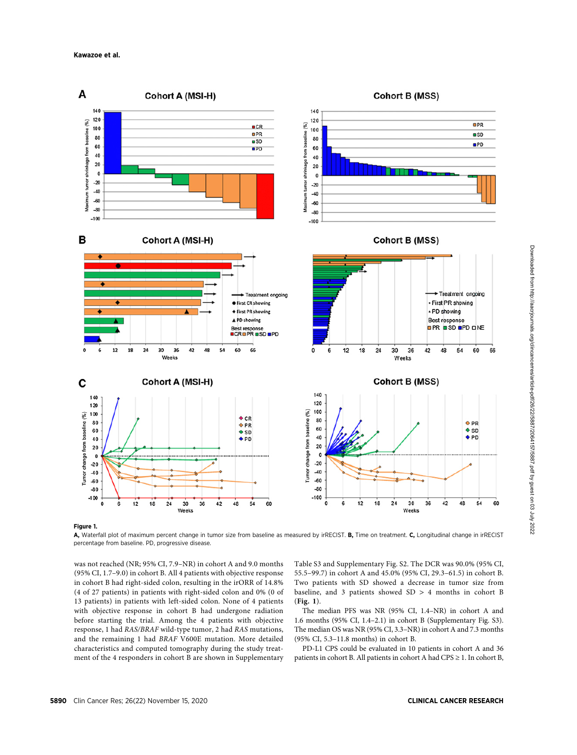

Figure 1.

A, Waterfall plot of maximum percent change in tumor size from baseline as measured by irRECIST. B, Time on treatment. C, Longitudinal change in irRECIST percentage from baseline. PD, progressive disease.

was not reached (NR; 95% CI, 7.9–NR) in cohort A and 9.0 months (95% CI, 1.7–9.0) in cohort B. All 4 patients with objective response in cohort B had right-sided colon, resulting in the irORR of 14.8% (4 of 27 patients) in patients with right-sided colon and 0% (0 of 13 patients) in patients with left-sided colon. None of 4 patients with objective response in cohort B had undergone radiation before starting the trial. Among the 4 patients with objective response, 1 had RAS/BRAF wild-type tumor, 2 had RAS mutations, and the remaining 1 had BRAF V600E mutation. More detailed characteristics and computed tomography during the study treatment of the 4 responders in cohort B are shown in Supplementary Table S3 and Supplementary Fig. S2. The DCR was 90.0% (95% CI, 55.5–99.7) in cohort A and 45.0% (95% CI, 29.3–61.5) in cohort B. Two patients with SD showed a decrease in tumor size from baseline, and 3 patients showed SD > 4 months in cohort B (Fig. 1).

The median PFS was NR (95% CI, 1.4–NR) in cohort A and 1.6 months (95% CI, 1.4–2.1) in cohort B (Supplementary Fig. S3). The median OS was NR (95% CI, 3.3–NR) in cohort A and 7.3 months (95% CI, 5.3–11.8 months) in cohort B.

PD-L1 CPS could be evaluated in 10 patients in cohort A and 36 patients in cohort B. All patients in cohort A had CPS ≥ 1. In cohort B,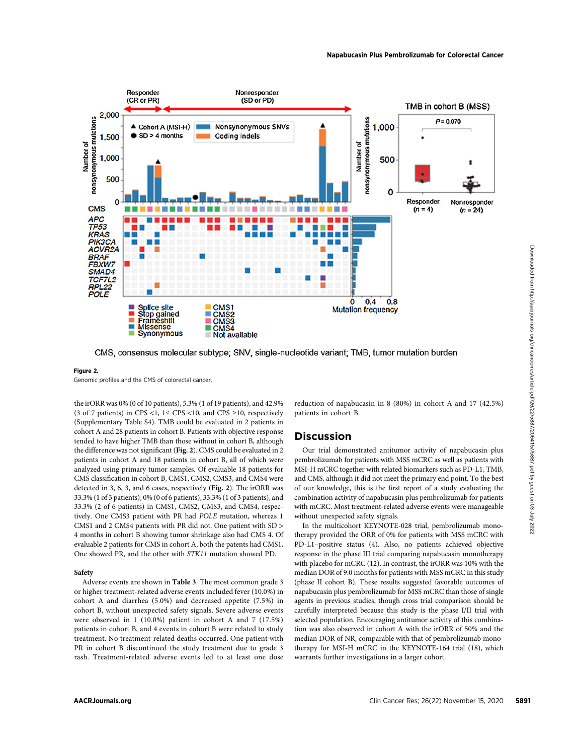

#### Figure 2.

Genomic profiles and the CMS of colorectal cancer.

the irORR was 0% (0 of 10 patients), 5.3% (1 of 19 patients), and 42.9% (3 of 7 patients) in CPS <1,  $1 \leq$  CPS <10, and CPS ≥10, respectively (Supplementary Table S4). TMB could be evaluated in 2 patients in cohort A and 28 patients in cohort B. Patients with objective response tended to have higher TMB than those without in cohort B, although the difference was not significant (Fig. 2). CMS could be evaluated in 2 patients in cohort A and 18 patients in cohort B, all of which were analyzed using primary tumor samples. Of evaluable 18 patients for CMS classification in cohort B, CMS1, CMS2, CMS3, and CMS4 were detected in 3, 6, 3, and 6 cases, respectively (Fig. 2). The irORR was 33.3% (1 of 3 patients), 0% (0 of 6 patients), 33.3% (1 of 3 patients), and 33.3% (2 of 6 patients) in CMS1, CMS2, CMS3, and CMS4, respectively. One CMS3 patient with PR had POLE mutation, whereas 1 CMS1 and 2 CMS4 patients with PR did not. One patient with SD > 4 months in cohort B showing tumor shrinkage also had CMS 4. Of evaluable 2 patients for CMS in cohort A, both the patents had CMS1. One showed PR, and the other with STK11 mutation showed PD.

#### Safety

Adverse events are shown in Table 3. The most common grade 3 or higher treatment-related adverse events included fever (10.0%) in cohort A and diarrhea (5.0%) and decreased appetite (7.5%) in cohort B, without unexpected safety signals. Severe adverse events were observed in 1 (10.0%) patient in cohort A and 7 (17.5%) patients in cohort B, and 4 events in cohort B were related to study treatment. No treatment-related deaths occurred. One patient with PR in cohort B discontinued the study treatment due to grade 3 rash. Treatment-related adverse events led to at least one dose reduction of napabucasin in 8 (80%) in cohort A and 17 (42.5%) patients in cohort B.

# **Discussion**

Our trial demonstrated antitumor activity of napabucasin plus pembrolizumab for patients with MSS mCRC as well as patients with MSI-H mCRC together with related biomarkers such as PD-L1, TMB, and CMS, although it did not meet the primary end point. To the best of our knowledge, this is the first report of a study evaluating the combination activity of napabucasin plus pembrolizumab for patients with mCRC. Most treatment-related adverse events were manageable without unexpected safety signals.

In the multicohort KEYNOTE-028 trial, pembrolizumab monotherapy provided the ORR of 0% for patients with MSS mCRC with PD-L1–positive status (4). Also, no patients achieved objective response in the phase III trial comparing napabucasin monotherapy with placebo for mCRC (12). In contrast, the irORR was 10% with the median DOR of 9.0 months for patients with MSS mCRC in this study (phase II cohort B). These results suggested favorable outcomes of napabucasin plus pembrolizumab for MSS mCRC than those of single agents in previous studies, though cross trial comparison should be carefully interpreted because this study is the phase I/II trial with selected population. Encouraging antitumor activity of this combination was also observed in cohort A with the irORR of 50% and the median DOR of NR, comparable with that of pembrolizumab monotherapy for MSI-H mCRC in the KEYNOTE-164 trial (18), which warrants further investigations in a larger cohort.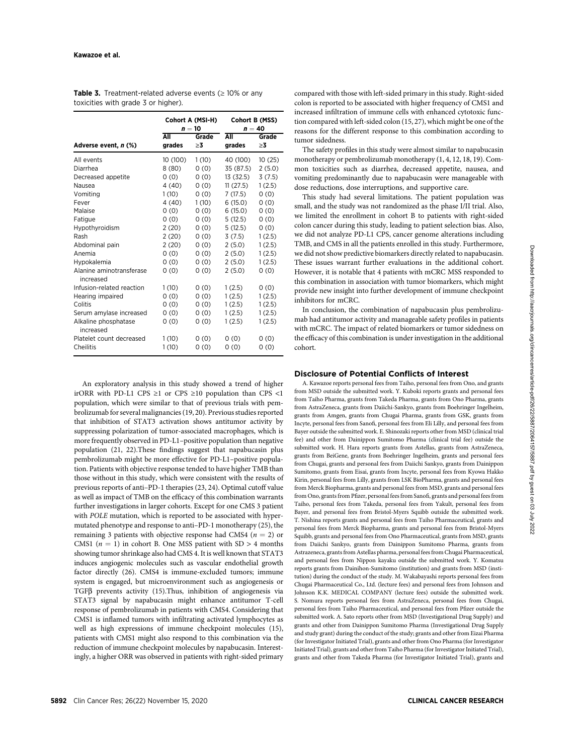|                                       | Cohort A (MSI-H)<br>$n=10$ |                   | Cohort B (MSS)<br>$n = 40$ |             |  |
|---------------------------------------|----------------------------|-------------------|----------------------------|-------------|--|
| Adverse event, n (%)                  | All<br>grades              | Grade<br>$\geq$ 3 | All<br>grades              | Grade<br>≥3 |  |
| All events                            | 10 (100)                   | 1(10)             | 40 (100)                   | 10 (25)     |  |
| Diarrhea                              | 8(80)                      | 0(0)              | 35 (87.5)                  | 2(5.0)      |  |
| Decreased appetite                    | 0(0)                       | 0(0)              | 13 (32.5)                  | 3(7.5)      |  |
| Nausea                                | 4(40)                      | 0(0)              | 11(27.5)                   | 1(2.5)      |  |
| Vomiting                              | 1(10)                      | 0(0)              | 7(17.5)                    | 0(0)        |  |
| Fever                                 | 4(40)                      | 1(10)             | 6(15.0)                    | 0(0)        |  |
| Malaise                               | 0(0)                       | 0(0)              | 6(15.0)                    | 0(0)        |  |
| Fatique                               | 0(0)                       | 0(0)              | 5(12.5)                    | 0(0)        |  |
| Hypothyroidism                        | 2(20)                      | 0(0)              | 5(12.5)                    | 0(0)        |  |
| Rash                                  | 2(20)                      | 0(0)              | 3(7.5)                     | 1(2.5)      |  |
| Abdominal pain                        | 2(20)                      | 0(0)              | 2(5.0)                     | 1(2.5)      |  |
| Anemia                                | 0(0)                       | 0(0)              | 2(5.0)                     | 1(2.5)      |  |
| Hypokalemia                           | 0(0)                       | 0(0)              | 2(5.0)                     | 1(2.5)      |  |
| Alanine aminotransferase<br>increased | 0(0)                       | 0(0)              | 2(5.0)                     | 0(0)        |  |
| Infusion-related reaction             | 1(10)                      | 0(0)              | 1(2.5)                     | 0(0)        |  |
| Hearing impaired                      | 0(0)                       | 0(0)              | 1(2.5)                     | 1(2.5)      |  |
| Colitis                               | 0(0)                       | 0(0)              | 1(2.5)                     | 1(2.5)      |  |
| Serum amylase increased               | 0(0)                       | 0(0)              | 1(2.5)                     | 1(2.5)      |  |
| Alkaline phosphatase<br>increased     | 0(0)                       | 0(0)              | 1(2.5)                     | 1(2.5)      |  |
| Platelet count decreased              | 1(10)                      | 0(0)              | 0(0)                       | 0(0)        |  |
| Cheilitis                             | 1(10)                      | 0(0)              | 0(0)                       | 0(0)        |  |

Table 3. Treatment-related adverse events  $( \geq 10\% )$  or any toxicities with grade 3 or higher).

An exploratory analysis in this study showed a trend of higher irORR with PD-L1 CPS  $\geq$ 1 or CPS  $\geq$ 10 population than CPS <1 population, which were similar to that of previous trials with pembrolizumab for several malignancies (19, 20). Previous studies reported that inhibition of STAT3 activation shows antitumor activity by suppressing polarization of tumor-associated macrophages, which is more frequently observed in PD-L1–positive population than negative population (21, 22).These findings suggest that napabucasin plus pembrolizumab might be more effective for PD-L1–positive population. Patients with objective response tended to have higher TMB than those without in this study, which were consistent with the results of previous reports of anti–PD-1 therapies (23, 24). Optimal cutoff value as well as impact of TMB on the efficacy of this combination warrants further investigations in larger cohorts. Except for one CMS 3 patient with POLE mutation, which is reported to be associated with hypermutated phenotype and response to anti–PD-1 monotherapy (25), the remaining 3 patients with objective response had CMS4 ( $n = 2$ ) or CMS1 ( $n = 1$ ) in cohort B. One MSS patient with SD > 4 months showing tumor shrinkage also had CMS 4. It is well known that STAT3 induces angiogenic molecules such as vascular endothelial growth factor directly (26). CMS4 is immune-excluded tumors; immune system is engaged, but microenvironment such as angiogenesis or TGFb prevents activity (15).Thus, inhibition of angiogenesis via STAT3 signal by napabucasin might enhance antitumor T-cell response of pembrolizumab in patients with CMS4. Considering that CMS1 is inflamed tumors with infiltrating activated lymphocytes as well as high expressions of immune checkpoint molecules (15), patients with CMS1 might also respond to this combination via the reduction of immune checkpoint molecules by napabucasin. Interestingly, a higher ORR was observed in patients with right-sided primary compared with those with left-sided primary in this study. Right-sided colon is reported to be associated with higher frequency of CMS1 and increased infiltration of immune cells with enhanced cytotoxic function compared with left-sided colon (15, 27), which might be one of the reasons for the different response to this combination according to tumor sidedness.

The safety profiles in this study were almost similar to napabucasin monotherapy or pembrolizumab monotherapy (1, 4, 12, 18, 19). Common toxicities such as diarrhea, decreased appetite, nausea, and vomiting predominantly due to napabucasin were manageable with dose reductions, dose interruptions, and supportive care.

This study had several limitations. The patient population was small, and the study was not randomized as the phase I/II trial. Also, we limited the enrollment in cohort B to patients with right-sided colon cancer during this study, leading to patient selection bias. Also, we did not analyze PD-L1 CPS, cancer genome alterations including TMB, and CMS in all the patients enrolled in this study. Furthermore, we did not show predictive biomarkers directly related to napabucasin. These issues warrant further evaluations in the additional cohort. However, it is notable that 4 patients with mCRC MSS responded to this combination in association with tumor biomarkers, which might provide new insight into further development of immune checkpoint inhibitors for mCRC.

In conclusion, the combination of napabucasin plus pembrolizumab had antitumor activity and manageable safety profiles in patients with mCRC. The impact of related biomarkers or tumor sidedness on the efficacy of this combination is under investigation in the additional cohort.

# Disclosure of Potential Conflicts of Interest

A. Kawazoe reports personal fees from Taiho, personal fees from Ono, and grants from MSD outside the submitted work. Y. Kuboki reports grants and personal fees from Taiho Pharma, grants from Takeda Pharma, grants from Ono Pharma, grants from AstraZeneca, grants from Daiichi-Sankyo, grants from Boehringer Ingelheim, grants from Amgen, grants from Chugai Pharma, grants from GSK, grants from Incyte, personal fees from Sanofi, personal fees from Eli Lilly, and personal fees from Bayer outside the submitted work. E. Shinozaki reports other from MSD (clinical trial fee) and other from Dainippon Sumitomo Pharma (clinical trial fee) outside the submitted work. H. Hara reports grants from Astellas, grants from AstraZeneca, grants from BeiGene, grants from Boehringer Ingelheim, grants and personal fees from Chugai, grants and personal fees from Daiichi Sankyo, grants from Dainippon Sumitomo, grants from Eisai, grants from Incyte, personal fees from Kyowa Hakko Kirin, personal fees from Lilly, grants from LSK BioPharma, grants and personal fees from Merck Biopharma, grants and personal fees from MSD, grants and personal fees from Ono, grants from Pfizer, personal fees from Sanofi, grants and personal fees from Taiho, personal fees from Takeda, personal fees from Yakult, personal fees from Bayer, and personal fees from Bristol-Myers Squibb outside the submitted work. T. Nishina reports grants and personal fees from Taiho Pharmaceutical, grants and personal fees from Merck Biopharma, grants and personal fees from Bristol-Myers Squibb, grants and personal fees from Ono Pharmaceutical, grants from MSD, grants from Daiichi Sankyo, grants from Dainippon Sumitomo Pharma, grants from Astrazeneca, grants from Astellas pharma, personal fees from Chugai Pharmaceutical, and personal fees from Nippon kayaku outside the submitted work. Y. Komatsu reports grants from Dainihon-Sumitomo (institution) and grants from MSD (institution) during the conduct of the study. M. Wakabayashi reports personal fees from Chugai Pharmaceutical Co., Ltd. (lecture fees) and personal fees from Johnson and Johnson K.K. MEDICAL COMPANY (lecture fees) outside the submitted work. S. Nomura reports personal fees from AstraZeneca, personal fees from Chugai, personal fees from Taiho Pharmaceutical, and personal fees from Pfizer outside the submitted work. A. Sato reports other from MSD (Investigational Drug Supply) and grants and other from Dainippon Sumitomo Pharma (Investigational Drug Supply and study grant) during the conduct of the study; grants and other from Eizai Pharma (for Investigator Initiated Trial), grants and other from Ono Pharma (for Investigator Initiated Trial), grants and other from Taiho Pharma (for Investigator Initiated Trial), grants and other from Takeda Pharma (for Investigator Initiated Trial), grants and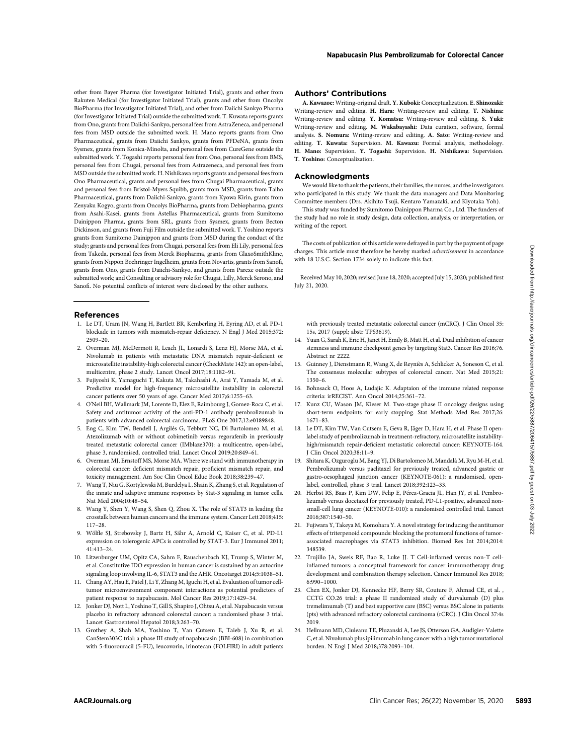other from Bayer Pharma (for Investigator Initiated Trial), grants and other from Rakuten Medical (for Investigator Initiated Trial), grants and other from Oncolys BioPharma (for Investigator Initiated Trial), and other from Daiichi Sankyo Pharma (for Investigator Initiated Trial) outside the submitted work. T. Kuwata reports grants from Ono, grants from Daiichi-Sankyo, personal fees from AstraZeneca, and personal fees from MSD outside the submitted work. H. Mano reports grants from Ono Pharmaceutical, grants from Daiichi Sankyo, grants from PFDeNA, grants from Sysmex, grants from Konica-Minolta, and personal fees from CureGene outside the submitted work. Y. Togashi reports personal fees from Ono, personal fees from BMS, personal fees from Chugai, personal fees from Astrazeneca, and personal fees from MSD outside the submitted work. H. Nishikawa reports grants and personal fees from Ono Pharmaceutical, grants and personal fees from Chugai Pharmaceutical, grants and personal fees from Bristol-Myers Squibb, grants from MSD, grants from Taiho Pharmaceutical, grants from Daiichi-Sankyo, grants from Kyowa Kirin, grants from Zenyaku Kogyo, grants from Oncolys BioPharma, grants from Debiopharma, grants from Asahi-Kasei, grants from Astellas Pharmaceutical, grants from Sumitomo Dainippon Pharma, grants from SRL, grants from Sysmex, grants from Becton Dickinson, and grants from Fuji Film outside the submitted work. T. Yoshino reports grants from Sumitomo Dainippon and grants from MSD during the conduct of the study; grants and personal fees from Chugai, personal fees from Eli Lily, personal fees from Takeda, personal fees from Merck Biopharma, grants from GlaxoSmithKline, grants from Nippon Boehringer Ingelheim, grants from Novartis, grants from Sanofi, grants from Ono, grants from Daiichi-Sankyo, and grants from Parexe outside the submitted work; and Consulting or advisory role for Chugai, Lilly, Merck Serono, and Sanofi. No potential conflicts of interest were disclosed by the other authors.

#### References

- 1. Le DT, Uram JN, Wang H, Bartlett BR, Kemberling H, Eyring AD, et al. PD-1 blockade in tumors with mismatch-repair deficiency. N Engl J Med 2015;372: 2509–20.
- 2. Overman MJ, McDermott R, Leach JL, Lonardi S, Lenz HJ, Morse MA, et al. Nivolumab in patients with metastatic DNA mismatch repair-deficient or microsatellite instability-high colorectal cancer (CheckMate 142): an open-label, multicentre, phase 2 study. Lancet Oncol 2017;18:1182–91.
- 3. Fujiyoshi K, Yamaguchi T, Kakuta M, Takahashi A, Arai Y, Yamada M, et al. Predictive model for high-frequency microsatellite instability in colorectal cancer patients over 50 years of age. Cancer Med 2017;6:1255–63.
- 4. O'Neil BH, Wallmark JM, Lorente D, Elez E, Raimbourg J, Gomez-Roca C, et al. Safety and antitumor activity of the anti-PD-1 antibody pembrolizumab in patients with advanced colorectal carcinoma. PLoS One 2017;12:e0189848.
- 5. Eng C, Kim TW, Bendell J, Argiles G, Tebbutt NC, Di Bartolomeo M, et al. Atezolizumab with or without cobimetinib versus regorafenib in previously treated metastatic colorectal cancer (IMblaze370): a multicentre, open-label, phase 3, randomised, controlled trial. Lancet Oncol 2019;20:849–61.
- 6. Overman MJ, Ernstoff MS, Morse MA. Where we stand with immunotherapy in colorectal cancer: deficient mismatch repair, proficient mismatch repair, and toxicity management. Am Soc Clin Oncol Educ Book 2018;38:239–47.
- 7. Wang T, Niu G, Kortylewski M, Burdelya L, Shain K, Zhang S, et al. Regulation of the innate and adaptive immune responses by Stat-3 signaling in tumor cells. Nat Med 2004;10:48–54.
- 8. Wang Y, Shen Y, Wang S, Shen Q, Zhou X. The role of STAT3 in leading the crosstalk between human cancers and the immune system. Cancer Lett 2018;415: 117–28.
- 9. Wölfle SJ, Strebovsky J, Bartz H, Sähr A, Arnold C, Kaiser C, et al. PD-L1 expression on tolerogenic APCs is controlled by STAT-3. Eur J Immunol 2011; 41:413–24.
- 10. Litzenburger UM, Opitz CA, Sahm F, Rauschenbach KJ, Trump S, Winter M, et al. Constitutive IDO expression in human cancer is sustained by an autocrine signaling loop involving IL-6, STAT3 and the AHR. Oncotarget 2014;5:1038–51.
- 11. Chang AY, Hsu E, Patel J, Li Y, Zhang M, Iguchi H, et al. Evaluation of tumor celltumor microenvironment component interactions as potential predictors of patient response to napabucasin. Mol Cancer Res 2019;17:1429–34.
- 12. Jonker DJ, Nott L, Yoshino T, Gill S, Shapiro J, Ohtsu A, et al. Napabucasin versus placebo in refractory advanced colorectal cancer: a randomised phase 3 trial. Lancet Gastroenterol Hepatol 2018;3:263–70.
- 13. Grothey A, Shah MA, Yoshino T, Van Cutsem E, Taieb J, Xu R, et al. CanStem303C trial: a phase III study of napabucasin (BBI-608) in combination with 5-fluorouracil (5-FU), leucovorin, irinotecan (FOLFIRI) in adult patients

#### Authors' Contributions

A. Kawazoe: Writing-original draft. Y. Kuboki: Conceptualization. E. Shinozaki: Writing-review and editing. H. Hara: Writing-review and editing. T. Nishina: Writing-review and editing. Y. Komatsu: Writing-review and editing. S. Yuki: Writing-review and editing. M. Wakabayashi: Data curation, software, formal analysis. S. Nomura: Writing-review and editing. A. Sato: Writing-review and editing. T. Kuwata: Supervision. M. Kawazu: Formal analysis, methodology. H. Mano: Supervision. Y. Togashi: Supervision. H. Nishikawa: Supervision. T. Yoshino: Conceptualization.

#### **Acknowledaments**

We would like to thank the patients, their families, the nurses, and the investigators who participated in this study. We thank the data managers and Data Monitoring Committee members (Drs. Akihito Tsuji, Kentaro Yamazaki, and Kiyotaka Yoh).

This study was funded by Sumitomo Dainippon Pharma Co., Ltd. The funders of the study had no role in study design, data collection, analysis, or interpretation, or writing of the report.

The costs of publication of this article were defrayed in part by the payment of page charges. This article must therefore be hereby marked advertisement in accordance with 18 U.S.C. Section 1734 solely to indicate this fact.

Received May 10, 2020; revised June 18, 2020; accepted July 15, 2020; published first July 21, 2020.

with previously treated metastatic colorectal cancer (mCRC). J Clin Oncol 35: 15s, 2017 (suppl; abstr TPS3619).

- 14. Yuan G, Sarah K, Eric H, Janet H, Emily B, Matt H, et al. Dual inhibition of cancer stemness and immune checkpoint genes by targeting Stat3. Cancer Res 2016;76. Abstract nr 2222.
- 15. Guinney J, Dienstmann R, Wang X, de Reynies A, Schlicker A, Soneson C, et al. The consensus molecular subtypes of colorectal cancer. Nat Med 2015;21: 1350–6.
- 16. Bohnsack O, Hoos A, Ludajic K. Adaptaion of the immune related response criteria: irRECIST. Ann Oncol 2014;25:361–72.
- 17. Kunz CU, Wason JM, Kieser M. Two-stage phase II oncology designs using short-term endpoints for early stopping. Stat Methods Med Res 2017;26: 1671–83.
- 18. Le DT, Kim TW, Van Cutsem E, Geva R, Jäger D, Hara H, et al. Phase II openlabel study of pembrolizumab in treatment-refractory, microsatellite instabilityhigh/mismatch repair-deficient metastatic colorectal cancer: KEYNOTE-164. J Clin Oncol 2020;38:11–9.
- 19. Shitara K, Ozguroglu M, Bang YJ, Di Bartolomeo M, Mandala M, Ryu M-H, et al. Pembrolizumab versus paclitaxel for previously treated, advanced gastric or gastro-oesophageal junction cancer (KEYNOTE-061): a randomised, openlabel, controlled, phase 3 trial. Lancet 2018;392:123–33.
- 20. Herbst RS, Baas P, Kim DW, Felip E, Pérez-Gracia JL, Han JY, et al. Pembrolizumab versus docetaxel for previously treated, PD-L1-positive, advanced nonsmall-cell lung cancer (KEYNOTE-010): a randomised controlled trial. Lancet 2016;387:1540–50.
- 21. Fujiwara Y, Takeya M, Komohara Y. A novel strategy for inducing the antitumor effects of triterpenoid compounds: blocking the protumoral functions of tumorassociated macrophages via STAT3 inhibition. Biomed Res Int 2014;2014: 348539.
- 22. Trujillo JA, Sweis RF, Bao R, Luke JJ. T Cell-inflamed versus non-T cellinflamed tumors: a conceptual framework for cancer immunotherapy drug development and combination therapy selection. Cancer Immunol Res 2018; 6:990–1000.
- 23. Chen EX, Jonker DJ, Kennecke HF, Berry SR, Couture F, Ahmad CE, et al. , CCTG CO.26 trial: a phase II randomized study of durvalumab (D) plus tremelimumab (T) and best supportive care (BSC) versus BSC alone in patients (pts) with advanced refractory colorectal carcinoma (rCRC). J Clin Oncol 37:4s 2019.
- 24. Hellmann MD, Ciuleanu TE, Pluzanski A, Lee JS, Otterson GA, Audigier-Valette C, et al. Nivolumab plus ipilimumab in lung cancer with a high tumor mutational burden. N Engl J Med 2018;378:2093–104.